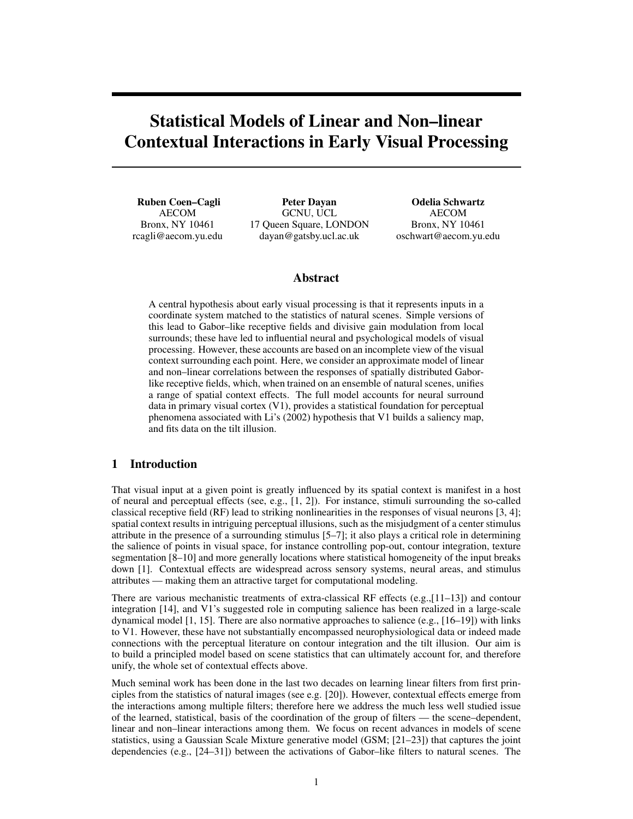# Statistical Models of Linear and Non–linear Contextual Interactions in Early Visual Processing

Ruben Coen–Cagli AECOM Bronx, NY 10461 rcagli@aecom.yu.edu

Peter Dayan GCNU, UCL 17 Queen Square, LONDON dayan@gatsby.ucl.ac.uk

Odelia Schwartz AECOM Bronx, NY 10461 oschwart@aecom.yu.edu

# Abstract

A central hypothesis about early visual processing is that it represents inputs in a coordinate system matched to the statistics of natural scenes. Simple versions of this lead to Gabor–like receptive fields and divisive gain modulation from local surrounds; these have led to influential neural and psychological models of visual processing. However, these accounts are based on an incomplete view of the visual context surrounding each point. Here, we consider an approximate model of linear and non–linear correlations between the responses of spatially distributed Gaborlike receptive fields, which, when trained on an ensemble of natural scenes, unifies a range of spatial context effects. The full model accounts for neural surround data in primary visual cortex (V1), provides a statistical foundation for perceptual phenomena associated with Li's (2002) hypothesis that V1 builds a saliency map, and fits data on the tilt illusion.

# 1 Introduction

That visual input at a given point is greatly influenced by its spatial context is manifest in a host of neural and perceptual effects (see, e.g., [1, 2]). For instance, stimuli surrounding the so-called classical receptive field (RF) lead to striking nonlinearities in the responses of visual neurons [3, 4]; spatial context results in intriguing perceptual illusions, such as the misjudgment of a center stimulus attribute in the presence of a surrounding stimulus [5–7]; it also plays a critical role in determining the salience of points in visual space, for instance controlling pop-out, contour integration, texture segmentation [8–10] and more generally locations where statistical homogeneity of the input breaks down [1]. Contextual effects are widespread across sensory systems, neural areas, and stimulus attributes — making them an attractive target for computational modeling.

There are various mechanistic treatments of extra-classical RF effects (e.g., $[11-13]$ ) and contour integration [14], and V1's suggested role in computing salience has been realized in a large-scale dynamical model  $[1, 15]$ . There are also normative approaches to salience (e.g.,  $[16–19]$ ) with links to V1. However, these have not substantially encompassed neurophysiological data or indeed made connections with the perceptual literature on contour integration and the tilt illusion. Our aim is to build a principled model based on scene statistics that can ultimately account for, and therefore unify, the whole set of contextual effects above.

Much seminal work has been done in the last two decades on learning linear filters from first principles from the statistics of natural images (see e.g. [20]). However, contextual effects emerge from the interactions among multiple filters; therefore here we address the much less well studied issue of the learned, statistical, basis of the coordination of the group of filters — the scene–dependent, linear and non–linear interactions among them. We focus on recent advances in models of scene statistics, using a Gaussian Scale Mixture generative model (GSM; [21–23]) that captures the joint dependencies (e.g., [24–31]) between the activations of Gabor–like filters to natural scenes. The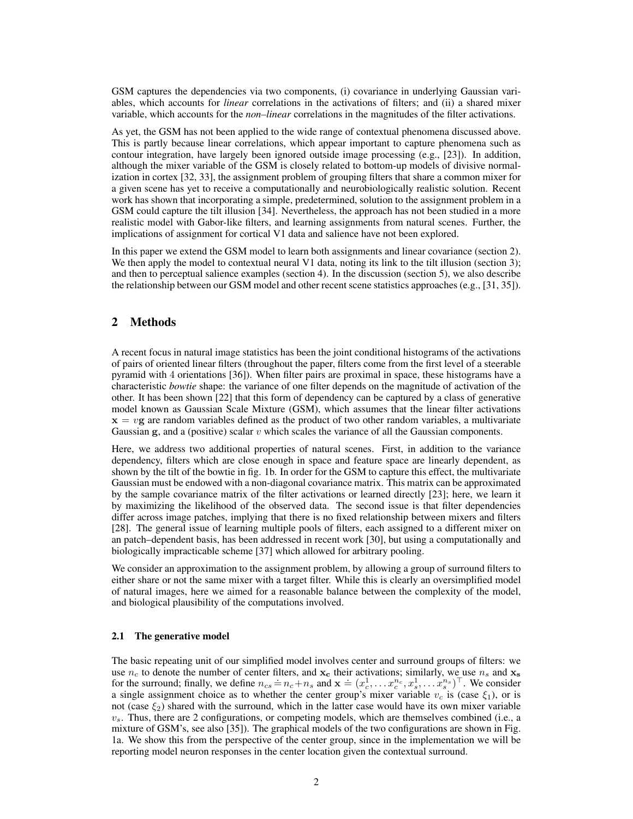GSM captures the dependencies via two components, (i) covariance in underlying Gaussian variables, which accounts for *linear* correlations in the activations of filters; and (ii) a shared mixer variable, which accounts for the *non–linear* correlations in the magnitudes of the filter activations.

As yet, the GSM has not been applied to the wide range of contextual phenomena discussed above. This is partly because linear correlations, which appear important to capture phenomena such as contour integration, have largely been ignored outside image processing (e.g., [23]). In addition, although the mixer variable of the GSM is closely related to bottom-up models of divisive normalization in cortex [32, 33], the assignment problem of grouping filters that share a common mixer for a given scene has yet to receive a computationally and neurobiologically realistic solution. Recent work has shown that incorporating a simple, predetermined, solution to the assignment problem in a GSM could capture the tilt illusion [34]. Nevertheless, the approach has not been studied in a more realistic model with Gabor-like filters, and learning assignments from natural scenes. Further, the implications of assignment for cortical V1 data and salience have not been explored.

In this paper we extend the GSM model to learn both assignments and linear covariance (section 2). We then apply the model to contextual neural V1 data, noting its link to the tilt illusion (section 3); and then to perceptual salience examples (section 4). In the discussion (section 5), we also describe the relationship between our GSM model and other recent scene statistics approaches (e.g., [31, 35]).

# 2 Methods

A recent focus in natural image statistics has been the joint conditional histograms of the activations of pairs of oriented linear filters (throughout the paper, filters come from the first level of a steerable pyramid with 4 orientations [36]). When filter pairs are proximal in space, these histograms have a characteristic *bowtie* shape: the variance of one filter depends on the magnitude of activation of the other. It has been shown [22] that this form of dependency can be captured by a class of generative model known as Gaussian Scale Mixture (GSM), which assumes that the linear filter activations  $x = v$ g are random variables defined as the product of two other random variables, a multivariate Gaussian g, and a (positive) scalar  $v$  which scales the variance of all the Gaussian components.

Here, we address two additional properties of natural scenes. First, in addition to the variance dependency, filters which are close enough in space and feature space are linearly dependent, as shown by the tilt of the bowtie in fig. 1b. In order for the GSM to capture this effect, the multivariate Gaussian must be endowed with a non-diagonal covariance matrix. This matrix can be approximated by the sample covariance matrix of the filter activations or learned directly [23]; here, we learn it by maximizing the likelihood of the observed data. The second issue is that filter dependencies differ across image patches, implying that there is no fixed relationship between mixers and filters [28]. The general issue of learning multiple pools of filters, each assigned to a different mixer on an patch–dependent basis, has been addressed in recent work [30], but using a computationally and biologically impracticable scheme [37] which allowed for arbitrary pooling.

We consider an approximation to the assignment problem, by allowing a group of surround filters to either share or not the same mixer with a target filter. While this is clearly an oversimplified model of natural images, here we aimed for a reasonable balance between the complexity of the model, and biological plausibility of the computations involved.

## 2.1 The generative model

The basic repeating unit of our simplified model involves center and surround groups of filters: we use  $n_c$  to denote the number of center filters, and  $x_c$  their activations; similarly, we use  $n_s$  and  $x_s$ the surround; finally, we define  $n_{cs} = n_c + n_s$  and  $\mathbf{x} = (x_c^1, \dots, x_c^{n_c}, x_s^1, \dots, x_s^{n_s})^\top$ . We consider a single assignment choice as to whether the center group's mixer variable  $v_c$  is (case  $\xi_1$ ), or is not (case  $\xi_2$ ) shared with the surround, which in the latter case would have its own mixer variable  $v<sub>s</sub>$ . Thus, there are 2 configurations, or competing models, which are themselves combined (i.e., a mixture of GSM's, see also [35]). The graphical models of the two configurations are shown in Fig. 1a. We show this from the perspective of the center group, since in the implementation we will be reporting model neuron responses in the center location given the contextual surround.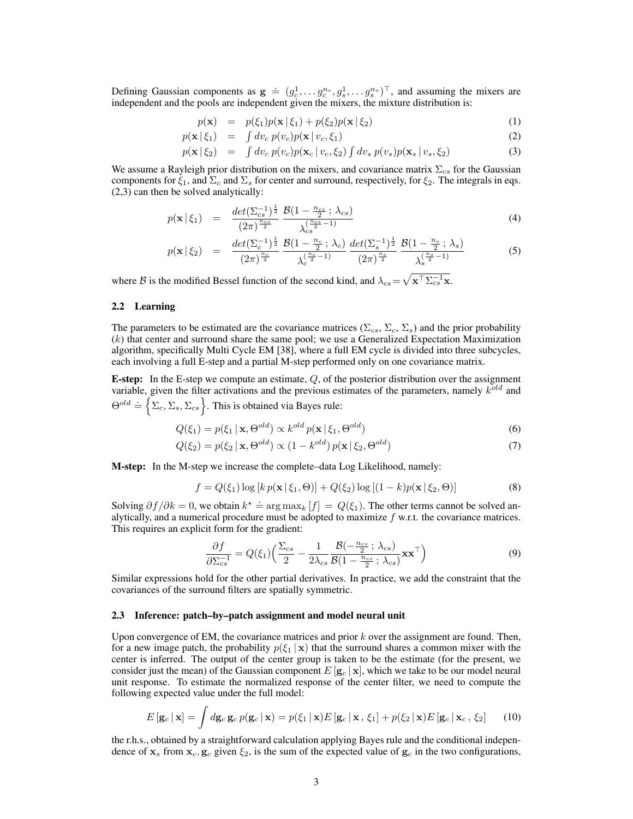Defining Gaussian components as  $g \doteq (g_c^1, \ldots, g_c^{n_c}, g_s^1, \ldots, g_s^{n_s})^\top$ , and assuming the mixers are independent and the pools are independent given the mixers, the mixture distribution is:

$$
p(\mathbf{x}) = p(\xi_1)p(\mathbf{x} | \xi_1) + p(\xi_2)p(\mathbf{x} | \xi_2)
$$
\n(1)

$$
p(\mathbf{x} \mid \xi_1) = \int dv_c \, p(v_c) p(\mathbf{x} \mid v_c, \xi_1) \tag{2}
$$

$$
p(\mathbf{x} \mid \xi_2) = \int dv_c \, p(v_c) p(\mathbf{x}_c \mid v_c, \xi_2) \int dv_s \, p(v_s) p(\mathbf{x}_s \mid v_s, \xi_2)
$$
 (3)

We assume a Rayleigh prior distribution on the mixers, and covariance matrix  $\Sigma_{cs}$  for the Gaussian components for  $\xi_1$ , and  $\Sigma_c$  and  $\Sigma_s$  for center and surround, respectively, for  $\xi_2$ . The integrals in eqs. (2,3) can then be solved analytically:

$$
p(\mathbf{x} \mid \xi_1) = \frac{\det(\Sigma_{cs}^{-1})^{\frac{1}{2}}}{(2\pi)^{\frac{n_{cs}}{2}}} \frac{\mathcal{B}(1 - \frac{n_{cs}}{2}; \lambda_{cs})}{\lambda_{cs}^{\left(\frac{n_{cs}}{2} - 1\right)}} \tag{4}
$$

$$
p(\mathbf{x} \mid \xi_2) = \frac{\det(\Sigma_c^{-1})^{\frac{1}{2}}}{(2\pi)^{\frac{n_c}{2}}} \frac{\mathcal{B}(1 - \frac{n_c}{2}; \lambda_c)}{\lambda_c^{\frac{(n_c - 1)}{2}}} \frac{\det(\Sigma_s^{-1})^{\frac{1}{2}}}{(2\pi)^{\frac{n_s}{2}}} \frac{\mathcal{B}(1 - \frac{n_s}{2}; \lambda_s)}{\lambda_s^{\frac{(n_s - 1)}{2}}}
$$
(5)

where B is the modified Bessel function of the second kind, and  $\lambda_{cs} = \sqrt{\mathbf{x}^{\top} \Sigma_{cs}^{-1} \mathbf{x}}$ .

## 2.2 Learning

The parameters to be estimated are the covariance matrices ( $\Sigma_{cs}$ ,  $\Sigma_c$ ,  $\Sigma_s$ ) and the prior probability  $(k)$  that center and surround share the same pool; we use a Generalized Expectation Maximization algorithm, specifically Multi Cycle EM [38], where a full EM cycle is divided into three subcycles, each involving a full E-step and a partial M-step performed only on one covariance matrix.

**E-step:** In the E-step we compute an estimate,  $Q$ , of the posterior distribution over the assignment variable, given the filter activations and the previous estimates of the parameters, namely  $k^{old}$  and  $\Theta^{old} \doteq \Bigl\{ \sum_c, \sum_s, \sum_{cs} \Bigr\}$ . This is obtained via Bayes rule:

$$
Q(\xi_1) = p(\xi_1 \mid \mathbf{x}, \Theta^{old}) \propto k^{old} p(\mathbf{x} \mid \xi_1, \Theta^{old})
$$
\n(6)

$$
Q(\xi_2) = p(\xi_2 \mid \mathbf{x}, \Theta^{old}) \propto (1 - k^{old}) p(\mathbf{x} \mid \xi_2, \Theta^{old})
$$
\n<sup>(7)</sup>

M-step: In the M-step we increase the complete–data Log Likelihood, namely:

$$
f = Q(\xi_1) \log [k p(\mathbf{x} | \xi_1, \Theta)] + Q(\xi_2) \log [(1 - k) p(\mathbf{x} | \xi_2, \Theta)] \tag{8}
$$

Solving  $\partial f / \partial k = 0$ , we obtain  $k^* \doteq \arg \max_k [f] = Q(\xi_1)$ . The other terms cannot be solved analytically, and a numerical procedure must be adopted to maximize  $f$  w.r.t. the covariance matrices. This requires an explicit form for the gradient:

$$
\frac{\partial f}{\partial \Sigma_{cs}^{-1}} = Q(\xi_1) \left( \frac{\Sigma_{cs}}{2} - \frac{1}{2\lambda_{cs}} \frac{\mathcal{B}(-\frac{n_{cs}}{2}; \lambda_{cs})}{\mathcal{B}(1 - \frac{n_{cs}}{2}; \lambda_{cs})} \mathbf{x} \mathbf{x}^{\top} \right)
$$
(9)

Similar expressions hold for the other partial derivatives. In practice, we add the constraint that the covariances of the surround filters are spatially symmetric.

#### 2.3 Inference: patch–by–patch assignment and model neural unit

Upon convergence of EM, the covariance matrices and prior  $k$  over the assignment are found. Then, for a new image patch, the probability  $p(\xi_1 | x)$  that the surround shares a common mixer with the center is inferred. The output of the center group is taken to be the estimate (for the present, we consider just the mean) of the Gaussian component  $E[g_c | x]$ , which we take to be our model neural unit response. To estimate the normalized response of the center filter, we need to compute the following expected value under the full model:

$$
E\left[\mathbf{g}_c\,\middle|\,\mathbf{x}\right] = \int d\mathbf{g}_c \,\mathbf{g}_c \, p(\mathbf{g}_c\,\middle|\,\mathbf{x}\right) = p(\xi_1\,\middle|\,\mathbf{x}\right) E\left[\mathbf{g}_c\,\middle|\,\mathbf{x}\,,\,\xi_1\right] + p(\xi_2\,\middle|\,\mathbf{x}\right) E\left[\mathbf{g}_c\,\middle|\,\mathbf{x}_c\,,\,\xi_2\right] \tag{10}
$$

the r.h.s., obtained by a straightforward calculation applying Bayes rule and the conditional independence of  $x_s$  from  $x_c$ ,  $g_c$  given  $\xi_2$ , is the sum of the expected value of  $g_c$  in the two configurations,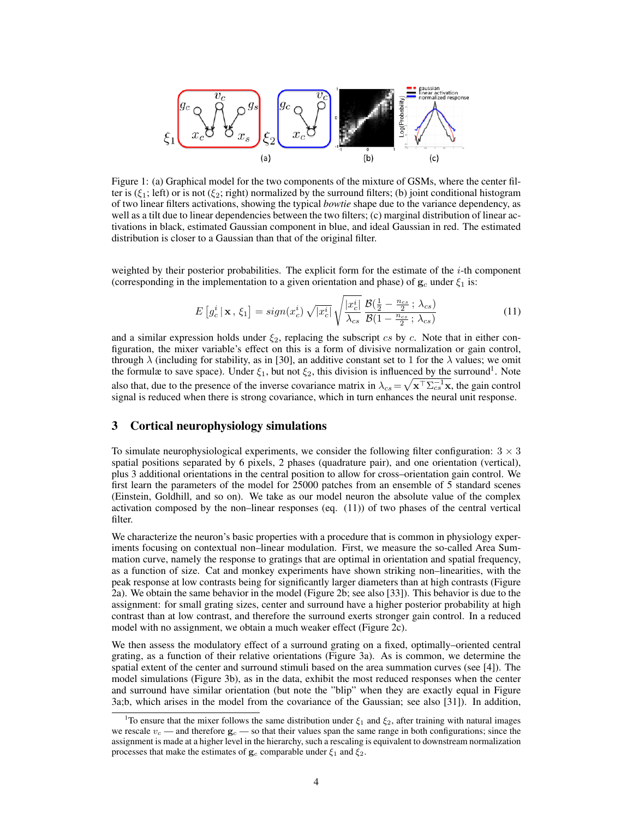

Figure 1: (a) Graphical model for the two components of the mixture of GSMs, where the center filter is ( $\xi_1$ ; left) or is not ( $\xi_2$ ; right) normalized by the surround filters; (b) joint conditional histogram of two linear filters activations, showing the typical *bowtie* shape due to the variance dependency, as well as a tilt due to linear dependencies between the two filters; (c) marginal distribution of linear activations in black, estimated Gaussian component in blue, and ideal Gaussian in red. The estimated distribution is closer to a Gaussian than that of the original filter.

weighted by their posterior probabilities. The explicit form for the estimate of the  $i$ -th component (corresponding in the implementation to a given orientation and phase) of  $g_c$  under  $\xi_1$  is:

$$
E\left[g_c^i \,|\, \mathbf{x}, \, \xi_1\right] = sign(x_c^i) \sqrt{|x_c^i|} \sqrt{\frac{|x_c^i|}{\lambda_{cs}}} \frac{\mathcal{B}\left(\frac{1}{2} - \frac{n_{cs}}{2}; \, \lambda_{cs}\right)}{\mathcal{B}\left(1 - \frac{n_{cs}}{2}; \, \lambda_{cs}\right)}\tag{11}
$$

and a similar expression holds under  $\xi_2$ , replacing the subscript cs by c. Note that in either configuration, the mixer variable's effect on this is a form of divisive normalization or gain control, through  $\lambda$  (including for stability, as in [30], an additive constant set to 1 for the  $\lambda$  values; we omit the formulæ to save space). Under  $\xi_1$ , but not  $\xi_2$ , this division is influenced by the surround<sup>1</sup>. Note also that, due to the presence of the inverse covariance matrix in  $\lambda_{cs} = \sqrt{\mathbf{x}^{\top} \Sigma_{cs}^{-1} \mathbf{x}}$ , the gain control signal is reduced when there is strong covariance, which in turn enhances the neural unit response.

# 3 Cortical neurophysiology simulations

To simulate neurophysiological experiments, we consider the following filter configuration:  $3 \times 3$ spatial positions separated by 6 pixels, 2 phases (quadrature pair), and one orientation (vertical), plus 3 additional orientations in the central position to allow for cross–orientation gain control. We first learn the parameters of the model for 25000 patches from an ensemble of 5 standard scenes (Einstein, Goldhill, and so on). We take as our model neuron the absolute value of the complex activation composed by the non–linear responses (eq. (11)) of two phases of the central vertical filter.

We characterize the neuron's basic properties with a procedure that is common in physiology experiments focusing on contextual non–linear modulation. First, we measure the so-called Area Summation curve, namely the response to gratings that are optimal in orientation and spatial frequency, as a function of size. Cat and monkey experiments have shown striking non–linearities, with the peak response at low contrasts being for significantly larger diameters than at high contrasts (Figure 2a). We obtain the same behavior in the model (Figure 2b; see also [33]). This behavior is due to the assignment: for small grating sizes, center and surround have a higher posterior probability at high contrast than at low contrast, and therefore the surround exerts stronger gain control. In a reduced model with no assignment, we obtain a much weaker effect (Figure 2c).

We then assess the modulatory effect of a surround grating on a fixed, optimally–oriented central grating, as a function of their relative orientations (Figure 3a). As is common, we determine the spatial extent of the center and surround stimuli based on the area summation curves (see [4]). The model simulations (Figure 3b), as in the data, exhibit the most reduced responses when the center and surround have similar orientation (but note the "blip" when they are exactly equal in Figure 3a;b, which arises in the model from the covariance of the Gaussian; see also [31]). In addition,

<sup>&</sup>lt;sup>1</sup>To ensure that the mixer follows the same distribution under  $\xi_1$  and  $\xi_2$ , after training with natural images we rescale  $v_c$  — and therefore  $g_c$  — so that their values span the same range in both configurations; since the assignment is made at a higher level in the hierarchy, such a rescaling is equivalent to downstream normalization processes that make the estimates of  $\mathbf{g}_c$  comparable under  $\xi_1$  and  $\xi_2$ .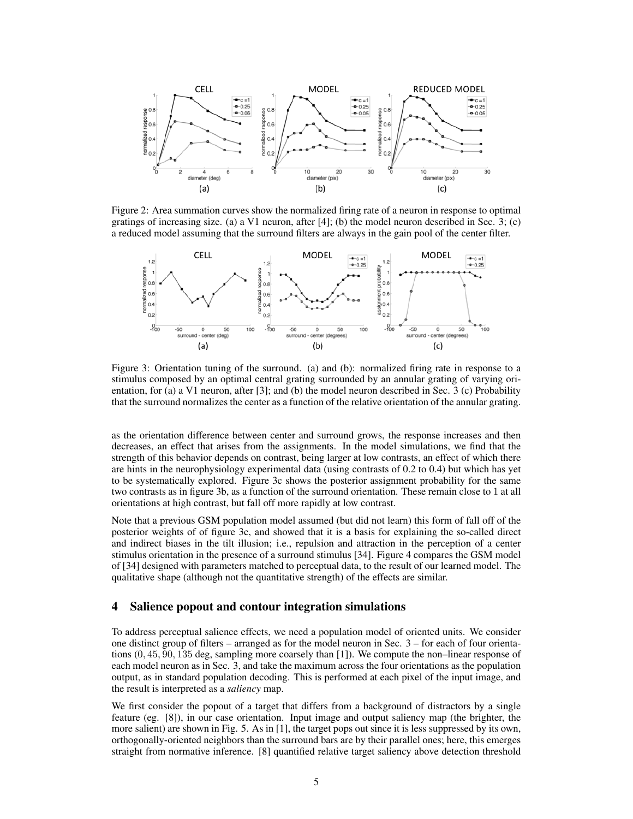

Figure 2: Area summation curves show the normalized firing rate of a neuron in response to optimal gratings of increasing size. (a) a V1 neuron, after  $[4]$ ; (b) the model neuron described in Sec. 3; (c) a reduced model assuming that the surround filters are always in the gain pool of the center filter.



Figure 3: Orientation tuning of the surround. (a) and (b): normalized firing rate in response to a stimulus composed by an optimal central grating surrounded by an annular grating of varying orientation, for (a) a V1 neuron, after [3]; and (b) the model neuron described in Sec. 3 (c) Probability that the surround normalizes the center as a function of the relative orientation of the annular grating.

as the orientation difference between center and surround grows, the response increases and then decreases, an effect that arises from the assignments. In the model simulations, we find that the strength of this behavior depends on contrast, being larger at low contrasts, an effect of which there are hints in the neurophysiology experimental data (using contrasts of 0.2 to 0.4) but which has yet to be systematically explored. Figure 3c shows the posterior assignment probability for the same two contrasts as in figure 3b, as a function of the surround orientation. These remain close to 1 at all orientations at high contrast, but fall off more rapidly at low contrast.

Note that a previous GSM population model assumed (but did not learn) this form of fall off of the posterior weights of of figure 3c, and showed that it is a basis for explaining the so-called direct and indirect biases in the tilt illusion; i.e., repulsion and attraction in the perception of a center stimulus orientation in the presence of a surround stimulus [34]. Figure 4 compares the GSM model of [34] designed with parameters matched to perceptual data, to the result of our learned model. The qualitative shape (although not the quantitative strength) of the effects are similar.

## 4 Salience popout and contour integration simulations

To address perceptual salience effects, we need a population model of oriented units. We consider one distinct group of filters – arranged as for the model neuron in Sec. 3 – for each of four orientations (0, 45, 90, 135 deg, sampling more coarsely than [1]). We compute the non–linear response of each model neuron as in Sec. 3, and take the maximum across the four orientations as the population output, as in standard population decoding. This is performed at each pixel of the input image, and the result is interpreted as a *saliency* map.

We first consider the popout of a target that differs from a background of distractors by a single feature (eg. [8]), in our case orientation. Input image and output saliency map (the brighter, the more salient) are shown in Fig. 5. As in [1], the target pops out since it is less suppressed by its own, orthogonally-oriented neighbors than the surround bars are by their parallel ones; here, this emerges straight from normative inference. [8] quantified relative target saliency above detection threshold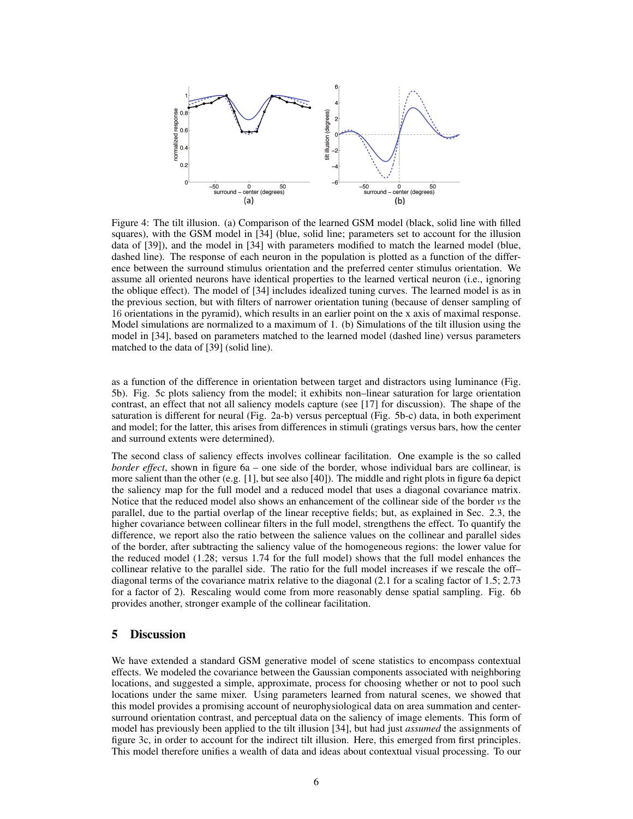

Figure 4: The tilt illusion. (a) Comparison of the learned GSM model (black, solid line with filled squares), with the GSM model in [34] (blue, solid line; parameters set to account for the illusion data of [39]), and the model in [34] with parameters modified to match the learned model (blue, dashed line). The response of each neuron in the population is plotted as a function of the difference between the surround stimulus orientation and the preferred center stimulus orientation. We assume all oriented neurons have identical properties to the learned vertical neuron (i.e., ignoring the oblique effect). The model of [34] includes idealized tuning curves. The learned model is as in the previous section, but with filters of narrower orientation tuning (because of denser sampling of 16 orientations in the pyramid), which results in an earlier point on the x axis of maximal response. Model simulations are normalized to a maximum of 1. (b) Simulations of the tilt illusion using the model in [34], based on parameters matched to the learned model (dashed line) versus parameters matched to the data of [39] (solid line).

as a function of the difference in orientation between target and distractors using luminance (Fig. 5b). Fig. 5c plots saliency from the model; it exhibits non–linear saturation for large orientation contrast, an effect that not all saliency models capture (see [17] for discussion). The shape of the saturation is different for neural (Fig. 2a-b) versus perceptual (Fig. 5b-c) data, in both experiment and model; for the latter, this arises from differences in stimuli (gratings versus bars, how the center and surround extents were determined).

The second class of saliency effects involves collinear facilitation. One example is the so called *border effect*, shown in figure 6a – one side of the border, whose individual bars are collinear, is more salient than the other  $(e.g. [1]$ , but see also [40]). The middle and right plots in figure 6a depict the saliency map for the full model and a reduced model that uses a diagonal covariance matrix. Notice that the reduced model also shows an enhancement of the collinear side of the border *vs* the parallel, due to the partial overlap of the linear receptive fields; but, as explained in Sec. 2.3, the higher covariance between collinear filters in the full model, strengthens the effect. To quantify the difference, we report also the ratio between the salience values on the collinear and parallel sides of the border, after subtracting the saliency value of the homogeneous regions: the lower value for the reduced model (1.28; versus 1.74 for the full model) shows that the full model enhances the collinear relative to the parallel side. The ratio for the full model increases if we rescale the off– diagonal terms of the covariance matrix relative to the diagonal (2.1 for a scaling factor of 1.5; 2.73 for a factor of 2). Rescaling would come from more reasonably dense spatial sampling. Fig. 6b provides another, stronger example of the collinear facilitation.

# 5 Discussion

We have extended a standard GSM generative model of scene statistics to encompass contextual effects. We modeled the covariance between the Gaussian components associated with neighboring locations, and suggested a simple, approximate, process for choosing whether or not to pool such locations under the same mixer. Using parameters learned from natural scenes, we showed that this model provides a promising account of neurophysiological data on area summation and centersurround orientation contrast, and perceptual data on the saliency of image elements. This form of model has previously been applied to the tilt illusion [34], but had just *assumed* the assignments of figure 3c, in order to account for the indirect tilt illusion. Here, this emerged from first principles. This model therefore unifies a wealth of data and ideas about contextual visual processing. To our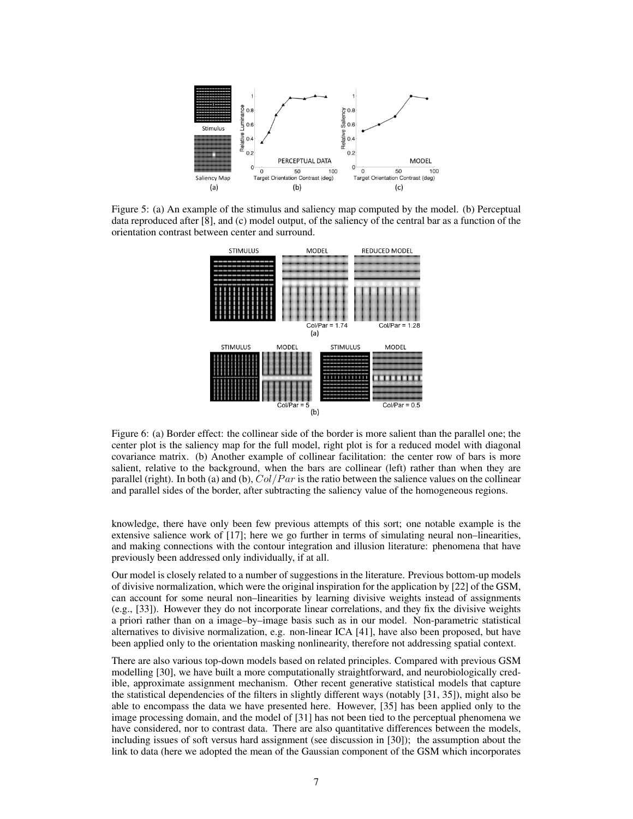

Figure 5: (a) An example of the stimulus and saliency map computed by the model. (b) Perceptual data reproduced after [8], and (c) model output, of the saliency of the central bar as a function of the orientation contrast between center and surround.



Figure 6: (a) Border effect: the collinear side of the border is more salient than the parallel one; the center plot is the saliency map for the full model, right plot is for a reduced model with diagonal covariance matrix. (b) Another example of collinear facilitation: the center row of bars is more salient, relative to the background, when the bars are collinear (left) rather than when they are parallel (right). In both (a) and (b),  $Col/Par$  is the ratio between the salience values on the collinear and parallel sides of the border, after subtracting the saliency value of the homogeneous regions.

knowledge, there have only been few previous attempts of this sort; one notable example is the extensive salience work of [17]; here we go further in terms of simulating neural non–linearities, and making connections with the contour integration and illusion literature: phenomena that have previously been addressed only individually, if at all.

Our model is closely related to a number of suggestions in the literature. Previous bottom-up models of divisive normalization, which were the original inspiration for the application by [22] of the GSM, can account for some neural non–linearities by learning divisive weights instead of assignments (e.g., [33]). However they do not incorporate linear correlations, and they fix the divisive weights a priori rather than on a image–by–image basis such as in our model. Non-parametric statistical alternatives to divisive normalization, e.g. non-linear ICA [41], have also been proposed, but have been applied only to the orientation masking nonlinearity, therefore not addressing spatial context.

There are also various top-down models based on related principles. Compared with previous GSM modelling [30], we have built a more computationally straightforward, and neurobiologically credible, approximate assignment mechanism. Other recent generative statistical models that capture the statistical dependencies of the filters in slightly different ways (notably [31, 35]), might also be able to encompass the data we have presented here. However, [35] has been applied only to the image processing domain, and the model of [31] has not been tied to the perceptual phenomena we have considered, nor to contrast data. There are also quantitative differences between the models, including issues of soft versus hard assignment (see discussion in [30]); the assumption about the link to data (here we adopted the mean of the Gaussian component of the GSM which incorporates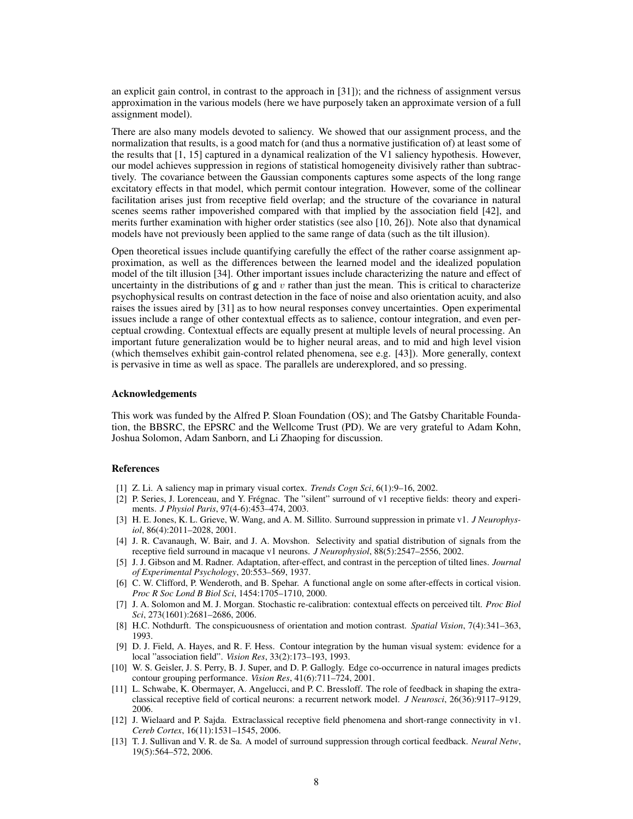an explicit gain control, in contrast to the approach in [31]); and the richness of assignment versus approximation in the various models (here we have purposely taken an approximate version of a full assignment model).

There are also many models devoted to saliency. We showed that our assignment process, and the normalization that results, is a good match for (and thus a normative justification of) at least some of the results that [1, 15] captured in a dynamical realization of the V1 saliency hypothesis. However, our model achieves suppression in regions of statistical homogeneity divisively rather than subtractively. The covariance between the Gaussian components captures some aspects of the long range excitatory effects in that model, which permit contour integration. However, some of the collinear facilitation arises just from receptive field overlap; and the structure of the covariance in natural scenes seems rather impoverished compared with that implied by the association field [42], and merits further examination with higher order statistics (see also [10, 26]). Note also that dynamical models have not previously been applied to the same range of data (such as the tilt illusion).

Open theoretical issues include quantifying carefully the effect of the rather coarse assignment approximation, as well as the differences between the learned model and the idealized population model of the tilt illusion [34]. Other important issues include characterizing the nature and effect of uncertainty in the distributions of  $g$  and  $v$  rather than just the mean. This is critical to characterize psychophysical results on contrast detection in the face of noise and also orientation acuity, and also raises the issues aired by [31] as to how neural responses convey uncertainties. Open experimental issues include a range of other contextual effects as to salience, contour integration, and even perceptual crowding. Contextual effects are equally present at multiple levels of neural processing. An important future generalization would be to higher neural areas, and to mid and high level vision (which themselves exhibit gain-control related phenomena, see e.g. [43]). More generally, context is pervasive in time as well as space. The parallels are underexplored, and so pressing.

## Acknowledgements

This work was funded by the Alfred P. Sloan Foundation (OS); and The Gatsby Charitable Foundation, the BBSRC, the EPSRC and the Wellcome Trust (PD). We are very grateful to Adam Kohn, Joshua Solomon, Adam Sanborn, and Li Zhaoping for discussion.

### References

- [1] Z. Li. A saliency map in primary visual cortex. *Trends Cogn Sci*, 6(1):9–16, 2002.
- [2] P. Series, J. Lorenceau, and Y. Frégnac. The "silent" surround of v1 receptive fields: theory and experiments. *J Physiol Paris*, 97(4-6):453–474, 2003.
- [3] H. E. Jones, K. L. Grieve, W. Wang, and A. M. Sillito. Surround suppression in primate v1. *J Neurophysiol*, 86(4):2011–2028, 2001.
- [4] J. R. Cavanaugh, W. Bair, and J. A. Movshon. Selectivity and spatial distribution of signals from the receptive field surround in macaque v1 neurons. *J Neurophysiol*, 88(5):2547–2556, 2002.
- [5] J. J. Gibson and M. Radner. Adaptation, after-effect, and contrast in the perception of tilted lines. *Journal of Experimental Psychology*, 20:553–569, 1937.
- [6] C. W. Clifford, P. Wenderoth, and B. Spehar. A functional angle on some after-effects in cortical vision. *Proc R Soc Lond B Biol Sci*, 1454:1705–1710, 2000.
- [7] J. A. Solomon and M. J. Morgan. Stochastic re-calibration: contextual effects on perceived tilt. *Proc Biol Sci*, 273(1601):2681–2686, 2006.
- [8] H.C. Nothdurft. The conspicuousness of orientation and motion contrast. *Spatial Vision*, 7(4):341–363, 1993.
- [9] D. J. Field, A. Hayes, and R. F. Hess. Contour integration by the human visual system: evidence for a local "association field". *Vision Res*, 33(2):173–193, 1993.
- [10] W. S. Geisler, J. S. Perry, B. J. Super, and D. P. Gallogly. Edge co-occurrence in natural images predicts contour grouping performance. *Vision Res*, 41(6):711–724, 2001.
- [11] L. Schwabe, K. Obermayer, A. Angelucci, and P. C. Bressloff. The role of feedback in shaping the extraclassical receptive field of cortical neurons: a recurrent network model. *J Neurosci*, 26(36):9117–9129, 2006.
- [12] J. Wielaard and P. Sajda. Extraclassical receptive field phenomena and short-range connectivity in v1. *Cereb Cortex*, 16(11):1531–1545, 2006.
- [13] T. J. Sullivan and V. R. de Sa. A model of surround suppression through cortical feedback. *Neural Netw*, 19(5):564–572, 2006.